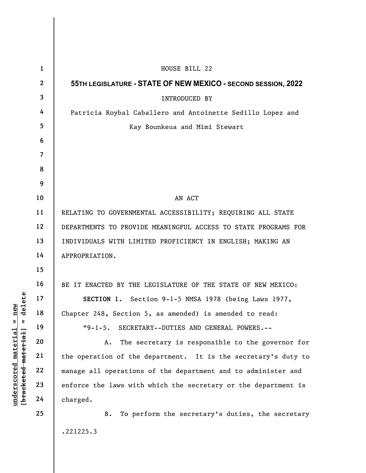|                                   | $\mathbf{1}$   | HOUSE BILL 22                                                  |
|-----------------------------------|----------------|----------------------------------------------------------------|
|                                   | $\mathbf{2}$   | 55TH LEGISLATURE - STATE OF NEW MEXICO - SECOND SESSION, 2022  |
|                                   | $\mathbf{3}$   | <b>INTRODUCED BY</b>                                           |
|                                   | 4              | Patricia Roybal Caballero and Antoinette Sedillo Lopez and     |
|                                   | 5              | Kay Bounkeua and Mimi Stewart                                  |
|                                   | 6              |                                                                |
|                                   | $\overline{7}$ |                                                                |
|                                   | 8              |                                                                |
|                                   | 9              |                                                                |
| delete<br>new                     | 10             | AN ACT                                                         |
|                                   | 11             | RELATING TO GOVERNMENTAL ACCESSIBILITY; REQUIRING ALL STATE    |
|                                   | 12             | DEPARTMENTS TO PROVIDE MEANINGFUL ACCESS TO STATE PROGRAMS FOR |
|                                   | 13             | INDIVIDUALS WITH LIMITED PROFICIENCY IN ENGLISH; MAKING AN     |
|                                   | 14             | APPROPRIATION.                                                 |
|                                   | 15             |                                                                |
|                                   | 16             | BE IT ENACTED BY THE LEGISLATURE OF THE STATE OF NEW MEXICO:   |
|                                   | 17             | SECTION 1. Section 9-1-5 NMSA 1978 (being Laws 1977,           |
|                                   | 18             | Chapter 248, Section 5, as amended) is amended to read:        |
| $\mathbb{I}$<br>$\, \, \parallel$ | 19             | $1 - 5.$<br>SECRETARY--DUTIES AND GENERAL POWERS.--            |
|                                   | 20             | The secretary is responsible to the governor for<br>Α.         |
|                                   | 21             | the operation of the department. It is the secretary's duty to |
|                                   | 22             | manage all operations of the department and to administer and  |
| [ <del>bracketed material</del> ] | 23             | enforce the laws with which the secretary or the department is |
| underscored material              | 24             | charged.                                                       |
|                                   | 25             | To perform the secretary's duties, the secretary<br>B.         |
|                                   |                | .221225.3                                                      |
|                                   |                |                                                                |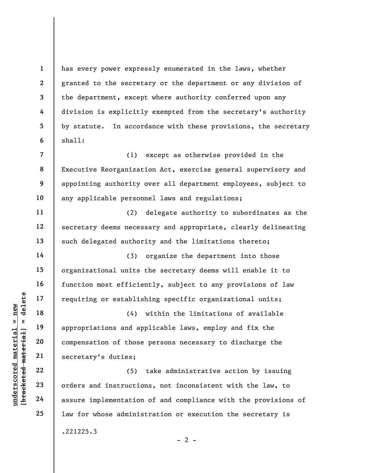has every power expressly enumerated in the laws, whether granted to the secretary or the department or any division of the department, except where authority conferred upon any division is explicitly exempted from the secretary's authority by statute. In accordance with these provisions, the secretary shall:

(1) except as otherwise provided in the Executive Reorganization Act, exercise general supervisory and appointing authority over all department employees, subject to any applicable personnel laws and regulations;

(2) delegate authority to subordinates as the secretary deems necessary and appropriate, clearly delineating such delegated authority and the limitations thereto;

(3) organize the department into those organizational units the secretary deems will enable it to function most efficiently, subject to any provisions of law requiring or establishing specific organizational units;

underscored material = new [bracketed material] = delete (4) within the limitations of available appropriations and applicable laws, employ and fix the compensation of those persons necessary to discharge the secretary's duties;

(5) take administrative action by issuing orders and instructions, not inconsistent with the law, to assure implementation of and compliance with the provisions of law for whose administration or execution the secretary is .221225.3

1

2

3

4

5

6

7

8

9

10

11

12

13

14

15

16

17

18

19

20

21

22

23

24

25

 $- 2 -$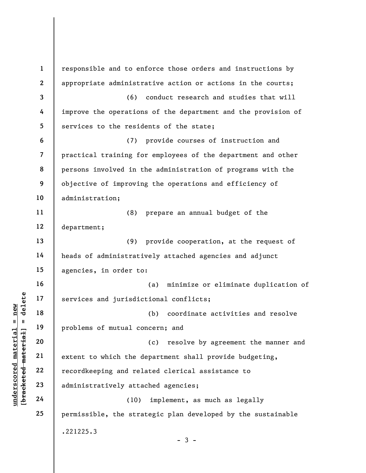underscored material services and jurisdic<br>  $\begin{bmatrix}\n\text{u} & \text{u} & \text{u} \\
\text{u} & \text{u} & \text{u} \\
\text{u} & \text{u} & \text{u} \\
\text{u} & \text{u} & \text{u} \\
\text{u} & \text{u} & \text{u} \\
\text{u} & \text{u} & \text{u} \\
\text{u} & \text{u} & \text{u} \\
\text{u} & \text{u} & \text{u} \\
\text{u} & \text{u} & \text{u} \\
\text{u} & \text$ 1 2 3 4 5 6 7 8 9 10 11 12 13 14 15 16 17 18 19 20 21 22 23 24 25 responsible and to enforce those orders and instructions by appropriate administrative action or actions in the courts; (6) conduct research and studies that will improve the operations of the department and the provision of services to the residents of the state; (7) provide courses of instruction and practical training for employees of the department and other persons involved in the administration of programs with the objective of improving the operations and efficiency of administration; (8) prepare an annual budget of the department; (9) provide cooperation, at the request of heads of administratively attached agencies and adjunct agencies, in order to: (a) minimize or eliminate duplication of services and jurisdictional conflicts; (b) coordinate activities and resolve problems of mutual concern; and (c) resolve by agreement the manner and extent to which the department shall provide budgeting, recordkeeping and related clerical assistance to administratively attached agencies; (10) implement, as much as legally permissible, the strategic plan developed by the sustainable .221225.3  $-3 -$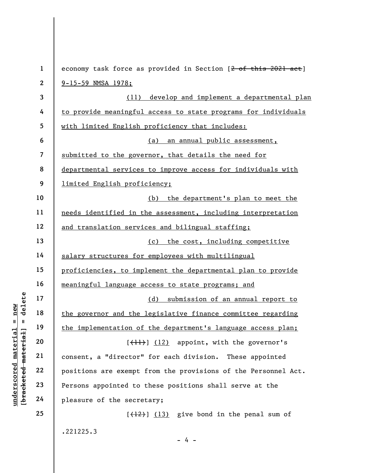|                                | $\mathbf{1}$   | economy task force as provided in Section [2 of this 2021 act] |
|--------------------------------|----------------|----------------------------------------------------------------|
|                                | $\mathbf{2}$   | $9 - 15 - 59$ NMSA 1978;                                       |
|                                | 3              | develop and implement a departmental plan<br>(11)              |
|                                | 4              | to provide meaningful access to state programs for individuals |
|                                | 5              | with limited English proficiency that includes:                |
|                                | 6              | an annual public assessment,<br>(a)                            |
|                                | $\overline{7}$ | submitted to the governor, that details the need for           |
|                                | 8              | departmental services to improve access for individuals with   |
|                                | 9              | limited English proficiency;                                   |
|                                | 10             | the department's plan to meet the<br>(b)                       |
|                                | 11             | needs identified in the assessment, including interpretation   |
|                                | 12             | and translation services and bilingual staffing;               |
|                                | 13             | the cost, including competitive<br>(c)                         |
|                                | 14             | salary structures for employees with multilingual              |
|                                | 15             | proficiencies, to implement the departmental plan to provide   |
|                                | 16             | meaningful language access to state programs; and              |
| delete                         | 17             | submission of an annual report to<br>(d)                       |
| new                            | 18             | the governor and the legislative finance committee regarding   |
| $\mathbf{u}$<br>- II           | 19             | the implementation of the department's language access plan;   |
| materia<br>[bracketed material | 20             | $[\frac{1}{1}]$ $(12)$ appoint, with the governor's            |
|                                | 21             | consent, a "director" for each division.<br>These appointed    |
|                                | 22             | positions are exempt from the provisions of the Personnel Act. |
| $\bm{{\rm underscore}}$        | 23             | Persons appointed to these positions shall serve at the        |
|                                | 24             | pleasure of the secretary;                                     |
|                                | 25             | $[$ $(12)$ ] $(13)$ give bond in the penal sum of              |
|                                |                |                                                                |

.221225.3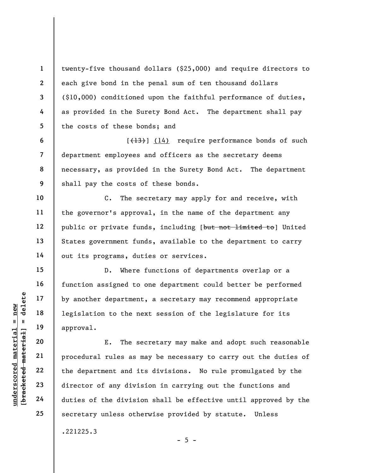twenty-five thousand dollars (\$25,000) and require directors to each give bond in the penal sum of ten thousand dollars (\$10,000) conditioned upon the faithful performance of duties, as provided in the Surety Bond Act. The department shall pay the costs of these bonds; and

 $[\frac{(13)}{14}]$  (14) require performance bonds of such department employees and officers as the secretary deems necessary, as provided in the Surety Bond Act. The department shall pay the costs of these bonds.

C. The secretary may apply for and receive, with the governor's approval, in the name of the department any public or private funds, including [but not limited to] United States government funds, available to the department to carry out its programs, duties or services.

D. Where functions of departments overlap or a function assigned to one department could better be performed by another department, a secretary may recommend appropriate legislation to the next session of the legislature for its approval.

underscored material = new [bracketed material] = delete E. The secretary may make and adopt such reasonable procedural rules as may be necessary to carry out the duties of the department and its divisions. No rule promulgated by the director of any division in carrying out the functions and duties of the division shall be effective until approved by the secretary unless otherwise provided by statute. Unless .221225.3

1

2

3

4

5

6

7

8

9

10

11

12

13

14

15

16

17

18

19

20

21

22

23

24

25

```
- 5 -
```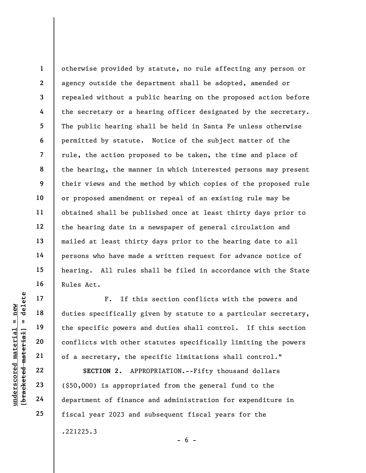1 2 3 4 5 6 7 8 9 10 11 12 13 14 15 16 otherwise provided by statute, no rule affecting any person or agency outside the department shall be adopted, amended or repealed without a public hearing on the proposed action before the secretary or a hearing officer designated by the secretary. The public hearing shall be held in Santa Fe unless otherwise permitted by statute. Notice of the subject matter of the rule, the action proposed to be taken, the time and place of the hearing, the manner in which interested persons may present their views and the method by which copies of the proposed rule or proposed amendment or repeal of an existing rule may be obtained shall be published once at least thirty days prior to the hearing date in a newspaper of general circulation and mailed at least thirty days prior to the hearing date to all persons who have made a written request for advance notice of hearing. All rules shall be filed in accordance with the State Rules Act.

UNDERENDENTIFIER THE MATHEM 19<br>
UNDER 19<br>
UNDER 19<br>
UNDER 19<br>
UNDER 19<br>
UNDER 19<br>
UNDER 19<br>
UNDER 19<br>
22<br>
23<br>
23<br>
(\$50,000) is appropri<br>
Conflicts with other<br>
DECTION 2. APPI<br>
24<br>
department of finance F. If this section conflicts with the powers and duties specifically given by statute to a particular secretary, the specific powers and duties shall control. If this section conflicts with other statutes specifically limiting the powers of a secretary, the specific limitations shall control."

SECTION 2. APPROPRIATION.--Fifty thousand dollars (\$50,000) is appropriated from the general fund to the department of finance and administration for expenditure in fiscal year 2023 and subsequent fiscal years for the .221225.3  $- 6 -$ 

24

17

18

19

20

21

22

23

25